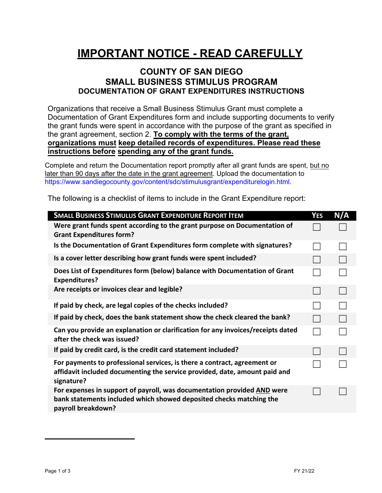# **IMPORTANT NOTICE - READ CAREFULLY**

## **COUNTY OF SAN DIEGO SMALL BUSINESS STIMULUS PROGRAM DOCUMENTATION OF GRANT EXPENDITURES INSTRUCTIONS**

Organizations that receive a Small Business Stimulus Grant must complete a Documentation of Grant Expenditures form and include supporting documents to verify the grant funds were spent in accordance with the purpose of the grant as specified in the grant agreement, section 2. **To comply with the terms of the grant, organizations must keep detailed records of expenditures. Please read these instructions before spending any of the grant funds.**

Complete and return the Documentation report promptly after all grant funds are spent, but no later than 90 days after the date in the grant agreement. Upload the documentation to [https://www.sandiegocounty.gov/content/sdc/stimulusgrant/expenditurelogin.html](https://www.sandiegocounty.gov/content/sdc/stimulusgrant/grantexpenditureupload.html).

The following is a checklist of items to include in the Grant Expenditure report:

| <b>SMALL BUSINESS STIMULUS GRANT EXPENDITURE REPORT ITEM</b>                                                                                                         | YES | N/A |
|----------------------------------------------------------------------------------------------------------------------------------------------------------------------|-----|-----|
| Were grant funds spent according to the grant purpose on Documentation of<br><b>Grant Expenditures form?</b>                                                         |     |     |
| Is the Documentation of Grant Expenditures form complete with signatures?                                                                                            |     |     |
| Is a cover letter describing how grant funds were spent included?                                                                                                    |     |     |
| Does List of Expenditures form (below) balance with Documentation of Grant<br><b>Expenditures?</b>                                                                   |     |     |
| Are receipts or invoices clear and legible?                                                                                                                          |     |     |
| If paid by check, are legal copies of the checks included?                                                                                                           |     |     |
| If paid by check, does the bank statement show the check cleared the bank?                                                                                           |     |     |
| Can you provide an explanation or clarification for any invoices/receipts dated<br>after the check was issued?                                                       |     |     |
| If paid by credit card, is the credit card statement included?                                                                                                       |     |     |
| For payments to professional services, is there a contract, agreement or<br>affidavit included documenting the service provided, date, amount paid and<br>signature? |     |     |
| For expenses in support of payroll, was documentation provided AND were<br>bank statements included which showed deposited checks matching the<br>payroll breakdown? |     |     |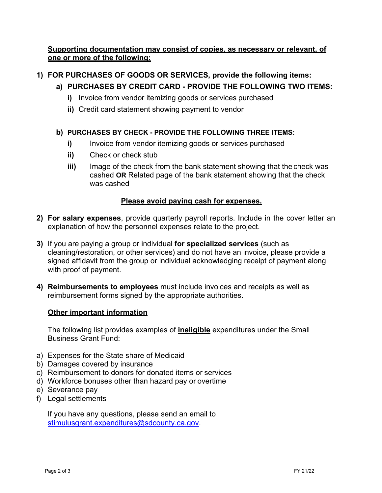#### **Supporting documentation may consist of copies, as necessary or relevant, of one or more of the following:**

### **1) FOR PURCHASES OF GOODS OR SERVICES, provide the following items:**

### **a) PURCHASES BY CREDIT CARD - PROVIDE THE FOLLOWING TWO ITEMS:**

- **i)** Invoice from vendor itemizing goods or services purchased
- **ii)** Credit card statement showing payment to vendor

#### **b) PURCHASES BY CHECK - PROVIDE THE FOLLOWING THREE ITEMS:**

- **i)** Invoice from vendor itemizing goods or services purchased
- **ii)** Check or check stub
- **iii)** Image of the check from the bank statement showing that the check was cashed **OR** Related page of the bank statement showing that the check was cashed

#### **Please avoid paying cash for expenses.**

- **2) For salary expenses**, provide quarterly payroll reports. Include in the cover letter an explanation of how the personnel expenses relate to the project.
- **3)** If you are paying a group or individual **for specialized services** (such as cleaning/restoration, or other services) and do not have an invoice, please provide a signed affidavit from the group or individual acknowledging receipt of payment along with proof of payment.
- **4) Reimbursements to employees** must include invoices and receipts as well as reimbursement forms signed by the appropriate authorities.

#### **Other important information**

The following list provides examples of **ineligible** expenditures under the Small Business Grant Fund:

- a) Expenses for the State share of Medicaid
- b) Damages covered by insurance
- c) Reimbursement to donors for donated items or services
- d) Workforce bonuses other than hazard pay or overtime
- e) Severance pay
- f) Legal settlements

If you have any questions, please send an email to [stimulusgrant.expenditures@sdcounty.ca.gov.](mailto:stimulusgrant.expenditures@sdcounty.ca.gov)